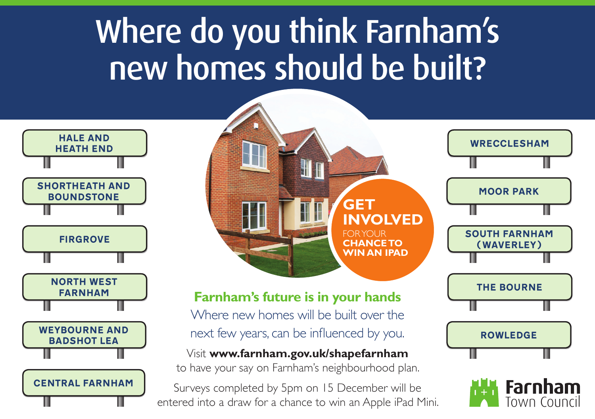# Where do you think Farnham's new homes should be built?